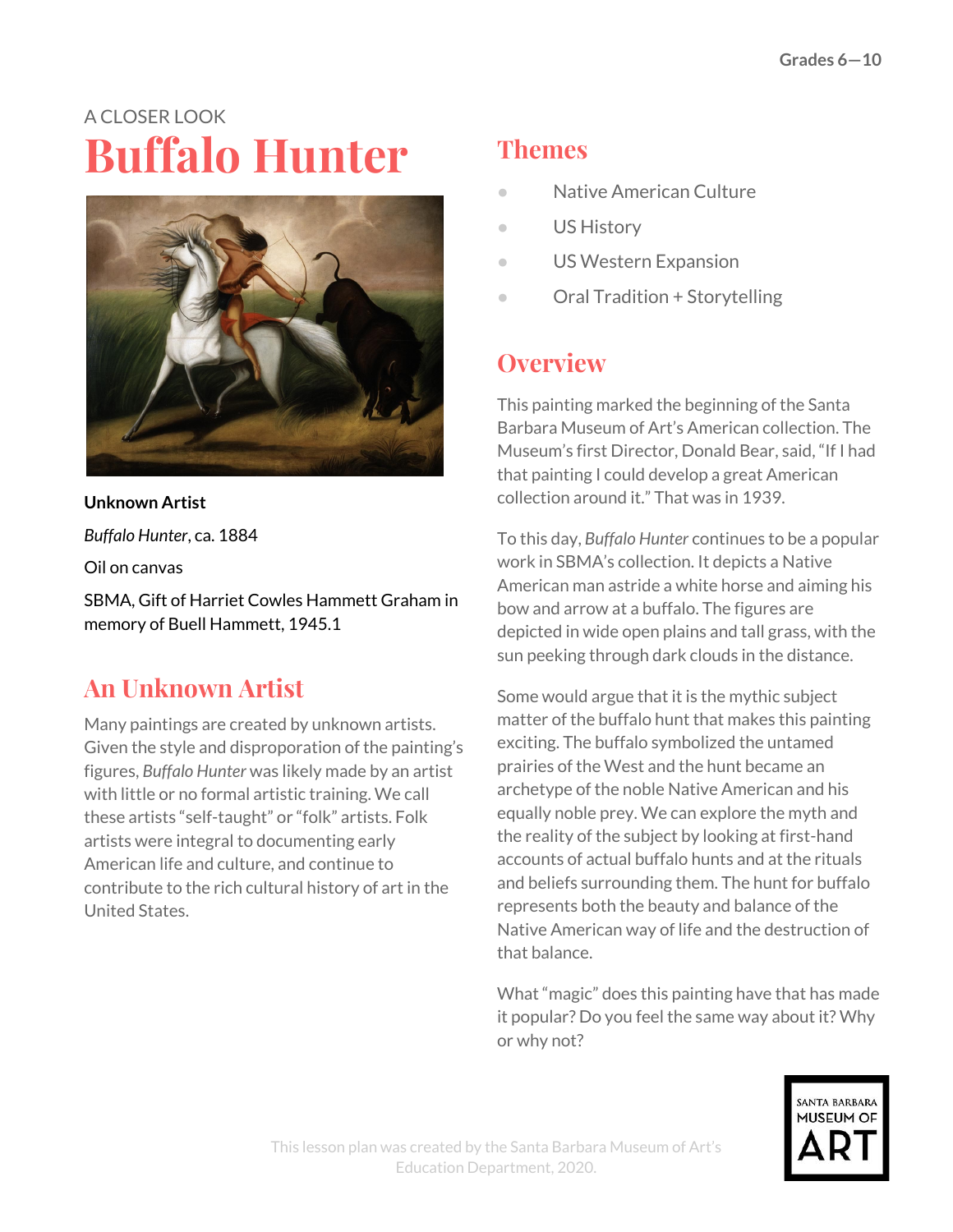# A CLOSER LOOK **Buffalo Hunter**



**Unknown Artist** *Buffalo Hunter*, ca. 1884 Oil on canvas SBMA, Gift of Harriet Cowles Hammett Graham in memory of Buell Hammett, 1945.1

# **An Unknown Artist**

Many paintings are created by unknown artists. Given the style and disproporation of the painting's figures, *Buffalo Hunter* was likely made by an artist with little or no formal artistic training. We call these artists "self-taught" or "folk" artists. Folk artists were integral to documenting early American life and culture, and continue to contribute to the rich cultural history of art in the United States.

## **Themes**

- Native American Culture
- US History
- US Western Expansion
- Oral Tradition + Storytelling

## **Overview**

This painting marked the beginning of the Santa Barbara Museum of Art's American collection. The Museum's first Director, Donald Bear, said, "If I had that painting I could develop a great American collection around it." That was in 1939.

To this day, *Buffalo Hunter* continues to be a popular work in SBMA's collection. It depicts a Native American man astride a white horse and aiming his bow and arrow at a buffalo. The figures are depicted in wide open plains and tall grass, with the sun peeking through dark clouds in the distance.

Some would argue that it is the mythic subject matter of the buffalo hunt that makes this painting exciting. The buffalo symbolized the untamed prairies of the West and the hunt became an archetype of the noble Native American and his equally noble prey. We can explore the myth and the reality of the subject by looking at first-hand accounts of actual buffalo hunts and at the rituals and beliefs surrounding them. The hunt for buffalo represents both the beauty and balance of the Native American way of life and the destruction of that balance.

What "magic" does this painting have that has made it popular? Do you feel the same way about it? Why or why not?

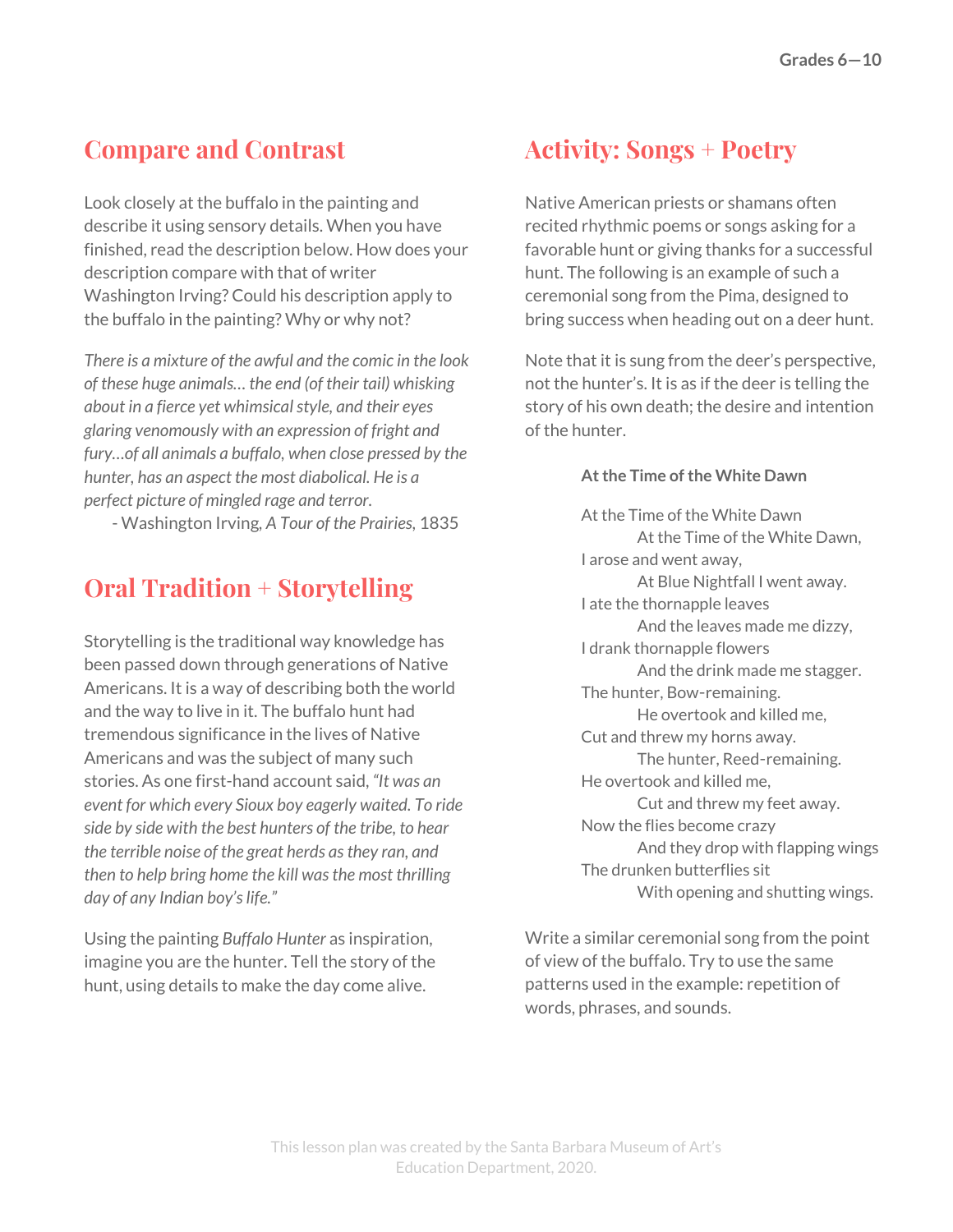## **Compare and Contrast**

Look closely at the buffalo in the painting and describe it using sensory details. When you have finished, read the description below. How does your description compare with that of writer Washington Irving? Could his description apply to the buffalo in the painting? Why or why not?

*There is a mixture of the awful and the comic in the look of these huge animals… the end (of their tail) whisking about in a fierce yet whimsicalstyle, and their eyes glaring venomously with an expression of fright and fury…of all animals a buffalo, when close pressed by the hunter, has an aspect the most diabolical. He is a perfect picture of mingled rage and terror.*

- Washington Irving*, A Tour of the Prairies,* 1835

#### **Oral Tradition + Storytelling**

Storytelling is the traditional way knowledge has been passed down through generations of Native Americans. It is a way of describing both the world and the way to live in it. The buffalo hunt had tremendous significance in the lives of Native Americans and was the subject of many such stories. As one first-hand account said, *"It was an event for which every Sioux boy eagerly waited. To ride side by side with the best hunters of the tribe, to hear the terrible noise of the great herds asthey ran, and then to help bring home the kill wasthe most thrilling day of any Indian boy'slife."*

Using the painting *Buffalo Hunter* as inspiration, imagine you are the hunter. Tell the story of the hunt, using details to make the day come alive.

#### **Activity: Songs + Poetry**

Native American priests or shamans often recited rhythmic poems or songs asking for a favorable hunt or giving thanks for a successful hunt. The following is an example of such a ceremonial song from the Pima, designed to bring success when heading out on a deer hunt.

Note that it is sung from the deer's perspective, not the hunter's. It is as if the deer is telling the story of his own death; the desire and intention of the hunter.

#### **Atthe Time of the White Dawn**

At the Time of the White Dawn At the Time of the White Dawn, I arose and went away, At Blue Nightfall I went away. I ate the thornapple leaves And the leaves made me dizzy, I drank thornapple flowers And the drink made me stagger. The hunter, Bow-remaining. He overtook and killed me, Cut and threw my horns away. The hunter, Reed-remaining. He overtook and killed me, Cut and threw my feet away. Now the flies become crazy And they drop with flapping wings The drunken butterflies sit With opening and shutting wings.

Write a similar ceremonial song from the point of view of the buffalo. Try to use the same patterns used in the example: repetition of words, phrases, and sounds.